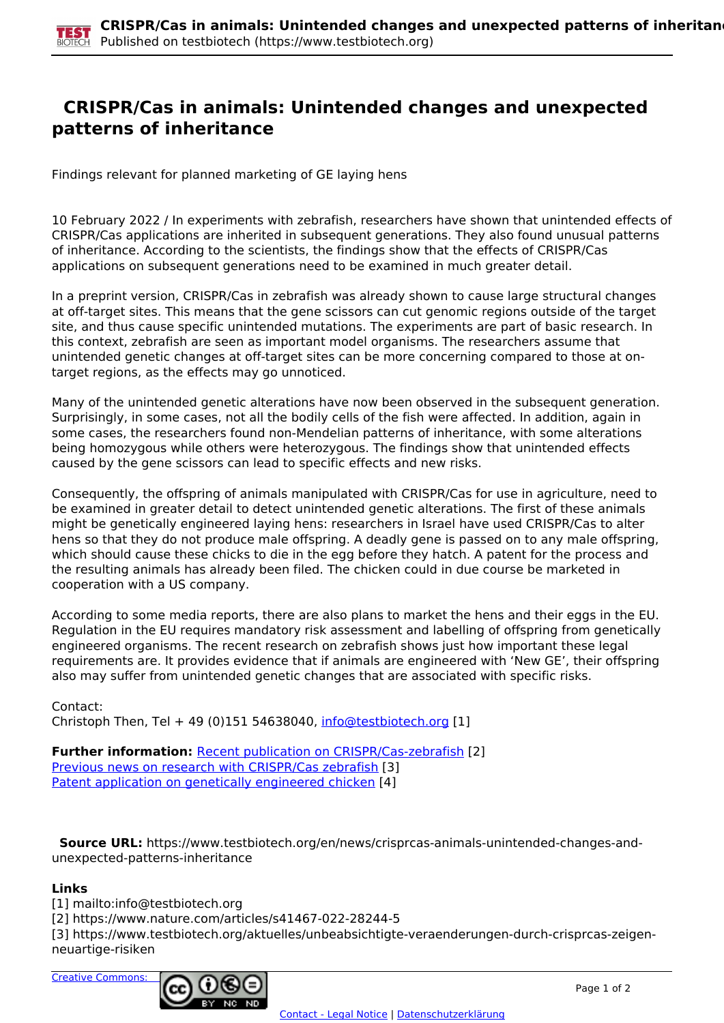## **CRISPR/Cas in animals: Unintended changes and unexpected patterns of inheritance**

Findings relevant for planned marketing of GE laying hens

10 February 2022 / In experiments with zebrafish, researchers have shown that unintended effects of CRISPR/Cas applications are inherited in subsequent generations. They also found unusual patterns of inheritance. According to the scientists, the findings show that the effects of CRISPR/Cas applications on subsequent generations need to be examined in much greater detail.

In a preprint version, CRISPR/Cas in zebrafish was already shown to cause large structural changes at off-target sites. This means that the gene scissors can cut genomic regions outside of the target site, and thus cause specific unintended mutations. The experiments are part of basic research. In this context, zebrafish are seen as important model organisms. The researchers assume that unintended genetic changes at off-target sites can be more concerning compared to those at ontarget regions, as the effects may go unnoticed.

Many of the unintended genetic alterations have now been observed in the subsequent generation. Surprisingly, in some cases, not all the bodily cells of the fish were affected. In addition, again in some cases, the researchers found non-Mendelian patterns of inheritance, with some alterations being homozygous while others were heterozygous. The findings show that unintended effects caused by the gene scissors can lead to specific effects and new risks.

Consequently, the offspring of animals manipulated with CRISPR/Cas for use in agriculture, need to be examined in greater detail to detect unintended genetic alterations. The first of these animals might be genetically engineered laying hens: researchers in Israel have used CRISPR/Cas to alter hens so that they do not produce male offspring. A deadly gene is passed on to any male offspring, which should cause these chicks to die in the egg before they hatch. A patent for the process and the resulting animals has already been filed. The chicken could in due course be marketed in cooperation with a US company.

According to some media reports, there are also plans to market the hens and their eggs in the EU. Regulation in the EU requires mandatory risk assessment and labelling of offspring from genetically engineered organisms. The recent research on zebrafish shows just how important these legal requirements are. It provides evidence that if animals are engineered with 'New GE', their offspring also may suffer from unintended genetic changes that are associated with specific risks.

Contact: Christoph Then, Tel + 49 (0)151 54638040, [info@testbiotech.org](mailto:info@testbiotech.org) [1]

**Further information:** Recent publication on CRISPR/Cas-zebrafish [2] Previous news on research with CRISPR/Cas zebrafish [3] Patent application on genetically engineered chicken [4]

 **Source URL:** https://www.testbiotech.org/en/news/crisprcas-animals-unintended-changes-andunexpected-patterns-inheritance

## **Links**

[1] mailto:info@testbiotech.org

[2] https://www.nature.com/articles/s41467-022-28244-5

[3] https://www.testbiotech.org/aktuelles/unbeabsichtigte-veraenderungen-durch-crisprcas-zeigenneuartige-risiken